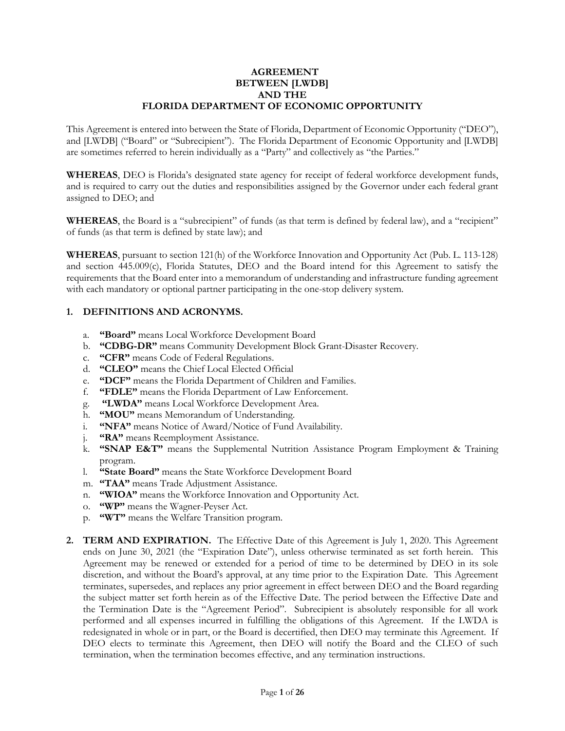### **AGREEMENT BETWEEN [LWDB] AND THE FLORIDA DEPARTMENT OF ECONOMIC OPPORTUNITY**

This Agreement is entered into between the State of Florida, Department of Economic Opportunity ("DEO"), and [LWDB] ("Board" or "Subrecipient"). The Florida Department of Economic Opportunity and [LWDB] are sometimes referred to herein individually as a "Party" and collectively as "the Parties."

**WHEREAS**, DEO is Florida's designated state agency for receipt of federal workforce development funds, and is required to carry out the duties and responsibilities assigned by the Governor under each federal grant assigned to DEO; and

**WHEREAS**, the Board is a "subrecipient" of funds (as that term is defined by federal law), and a "recipient" of funds (as that term is defined by state law); and

**WHEREAS**, pursuant to section 121(h) of the Workforce Innovation and Opportunity Act (Pub. L. 113-128) and section 445.009(c), Florida Statutes, DEO and the Board intend for this Agreement to satisfy the requirements that the Board enter into a memorandum of understanding and infrastructure funding agreement with each mandatory or optional partner participating in the one-stop delivery system.

## **1. DEFINITIONS AND ACRONYMS.**

- a. **"Board"** means Local Workforce Development Board
- b. **"CDBG-DR"** means Community Development Block Grant-Disaster Recovery.
- c. **"CFR"** means Code of Federal Regulations.
- d. **"CLEO"** means the Chief Local Elected Official
- e. **"DCF"** means the Florida Department of Children and Families.
- f. **"FDLE"** means the Florida Department of Law Enforcement.
- g. **"LWDA"** means Local Workforce Development Area.
- h. **"MOU"** means Memorandum of Understanding.
- i. **"NFA"** means Notice of Award/Notice of Fund Availability.
- j. **"RA"** means Reemployment Assistance.
- k. **"SNAP E&T"** means the Supplemental Nutrition Assistance Program Employment & Training program.
- l. **"State Board"** means the State Workforce Development Board
- m. **"TAA"** means Trade Adjustment Assistance.
- n. **"WIOA"** means the Workforce Innovation and Opportunity Act.
- o. **"WP"** means the Wagner-Peyser Act.
- p. **"WT"** means the Welfare Transition program.
- **2. TERM AND EXPIRATION.** The Effective Date of this Agreement is July 1, 2020. This Agreement ends on June 30, 2021 (the "Expiration Date"), unless otherwise terminated as set forth herein. This Agreement may be renewed or extended for a period of time to be determined by DEO in its sole discretion, and without the Board's approval, at any time prior to the Expiration Date. This Agreement terminates, supersedes, and replaces any prior agreement in effect between DEO and the Board regarding the subject matter set forth herein as of the Effective Date. The period between the Effective Date and the Termination Date is the "Agreement Period". Subrecipient is absolutely responsible for all work performed and all expenses incurred in fulfilling the obligations of this Agreement. If the LWDA is redesignated in whole or in part, or the Board is decertified, then DEO may terminate this Agreement. If DEO elects to terminate this Agreement, then DEO will notify the Board and the CLEO of such termination, when the termination becomes effective, and any termination instructions.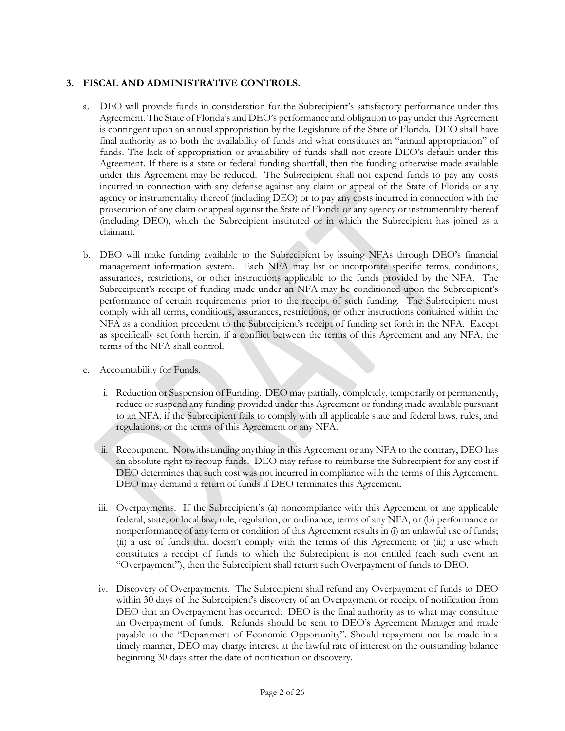## **3. FISCAL AND ADMINISTRATIVE CONTROLS.**

- a. DEO will provide funds in consideration for the Subrecipient's satisfactory performance under this Agreement. The State of Florida's and DEO's performance and obligation to pay under this Agreement is contingent upon an annual appropriation by the Legislature of the State of Florida. DEO shall have final authority as to both the availability of funds and what constitutes an "annual appropriation" of funds. The lack of appropriation or availability of funds shall not create DEO's default under this Agreement. If there is a state or federal funding shortfall, then the funding otherwise made available under this Agreement may be reduced. The Subrecipient shall not expend funds to pay any costs incurred in connection with any defense against any claim or appeal of the State of Florida or any agency or instrumentality thereof (including DEO) or to pay any costs incurred in connection with the prosecution of any claim or appeal against the State of Florida or any agency or instrumentality thereof (including DEO), which the Subrecipient instituted or in which the Subrecipient has joined as a claimant.
- b. DEO will make funding available to the Subrecipient by issuing NFAs through DEO's financial management information system. Each NFA may list or incorporate specific terms, conditions, assurances, restrictions, or other instructions applicable to the funds provided by the NFA. The Subrecipient's receipt of funding made under an NFA may be conditioned upon the Subrecipient's performance of certain requirements prior to the receipt of such funding. The Subrecipient must comply with all terms, conditions, assurances, restrictions, or other instructions contained within the NFA as a condition precedent to the Subrecipient's receipt of funding set forth in the NFA. Except as specifically set forth herein, if a conflict between the terms of this Agreement and any NFA, the terms of the NFA shall control.
- c. Accountability for Funds.
	- i. Reduction or Suspension of Funding. DEO may partially, completely, temporarily or permanently, reduce or suspend any funding provided under this Agreement or funding made available pursuant to an NFA, if the Subrecipient fails to comply with all applicable state and federal laws, rules, and regulations, or the terms of this Agreement or any NFA.
	- ii. Recoupment. Notwithstanding anything in this Agreement or any NFA to the contrary, DEO has an absolute right to recoup funds. DEO may refuse to reimburse the Subrecipient for any cost if DEO determines that such cost was not incurred in compliance with the terms of this Agreement. DEO may demand a return of funds if DEO terminates this Agreement.
	- iii. Overpayments. If the Subrecipient's (a) noncompliance with this Agreement or any applicable federal, state, or local law, rule, regulation, or ordinance, terms of any NFA, or (b) performance or nonperformance of any term or condition of this Agreement results in (i) an unlawful use of funds; (ii) a use of funds that doesn't comply with the terms of this Agreement; or (iii) a use which constitutes a receipt of funds to which the Subrecipient is not entitled (each such event an "Overpayment"), then the Subrecipient shall return such Overpayment of funds to DEO.
	- iv. Discovery of Overpayments. The Subrecipient shall refund any Overpayment of funds to DEO within 30 days of the Subrecipient's discovery of an Overpayment or receipt of notification from DEO that an Overpayment has occurred. DEO is the final authority as to what may constitute an Overpayment of funds. Refunds should be sent to DEO's Agreement Manager and made payable to the "Department of Economic Opportunity". Should repayment not be made in a timely manner, DEO may charge interest at the lawful rate of interest on the outstanding balance beginning 30 days after the date of notification or discovery.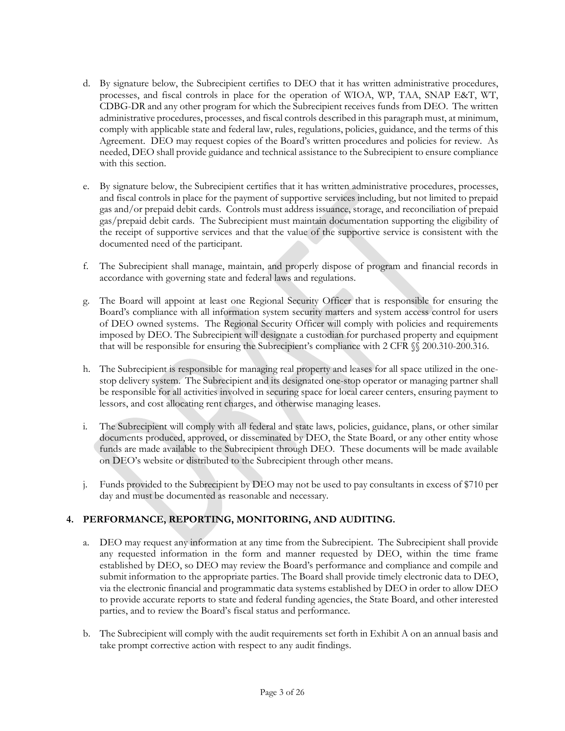- d. By signature below, the Subrecipient certifies to DEO that it has written administrative procedures, processes, and fiscal controls in place for the operation of WIOA, WP, TAA, SNAP E&T, WT, CDBG-DR and any other program for which the Subrecipient receives funds from DEO. The written administrative procedures, processes, and fiscal controls described in this paragraph must, at minimum, comply with applicable state and federal law, rules, regulations, policies, guidance, and the terms of this Agreement. DEO may request copies of the Board's written procedures and policies for review. As needed, DEO shall provide guidance and technical assistance to the Subrecipient to ensure compliance with this section.
- e. By signature below, the Subrecipient certifies that it has written administrative procedures, processes, and fiscal controls in place for the payment of supportive services including, but not limited to prepaid gas and/or prepaid debit cards. Controls must address issuance, storage, and reconciliation of prepaid gas/prepaid debit cards. The Subrecipient must maintain documentation supporting the eligibility of the receipt of supportive services and that the value of the supportive service is consistent with the documented need of the participant.
- f. The Subrecipient shall manage, maintain, and properly dispose of program and financial records in accordance with governing state and federal laws and regulations.
- g. The Board will appoint at least one Regional Security Officer that is responsible for ensuring the Board's compliance with all information system security matters and system access control for users of DEO owned systems. The Regional Security Officer will comply with policies and requirements imposed by DEO. The Subrecipient will designate a custodian for purchased property and equipment that will be responsible for ensuring the Subrecipient's compliance with 2 CFR §§ 200.310-200.316.
- h. The Subrecipient is responsible for managing real property and leases for all space utilized in the onestop delivery system. The Subrecipient and its designated one-stop operator or managing partner shall be responsible for all activities involved in securing space for local career centers, ensuring payment to lessors, and cost allocating rent charges, and otherwise managing leases.
- i. The Subrecipient will comply with all federal and state laws, policies, guidance, plans, or other similar documents produced, approved, or disseminated by DEO, the State Board, or any other entity whose funds are made available to the Subrecipient through DEO. These documents will be made available on DEO's website or distributed to the Subrecipient through other means.
- j. Funds provided to the Subrecipient by DEO may not be used to pay consultants in excess of \$710 per day and must be documented as reasonable and necessary.

# **4. PERFORMANCE, REPORTING, MONITORING, AND AUDITING.**

- a. DEO may request any information at any time from the Subrecipient. The Subrecipient shall provide any requested information in the form and manner requested by DEO, within the time frame established by DEO, so DEO may review the Board's performance and compliance and compile and submit information to the appropriate parties. The Board shall provide timely electronic data to DEO, via the electronic financial and programmatic data systems established by DEO in order to allow DEO to provide accurate reports to state and federal funding agencies, the State Board, and other interested parties, and to review the Board's fiscal status and performance.
- b. The Subrecipient will comply with the audit requirements set forth in Exhibit A on an annual basis and take prompt corrective action with respect to any audit findings.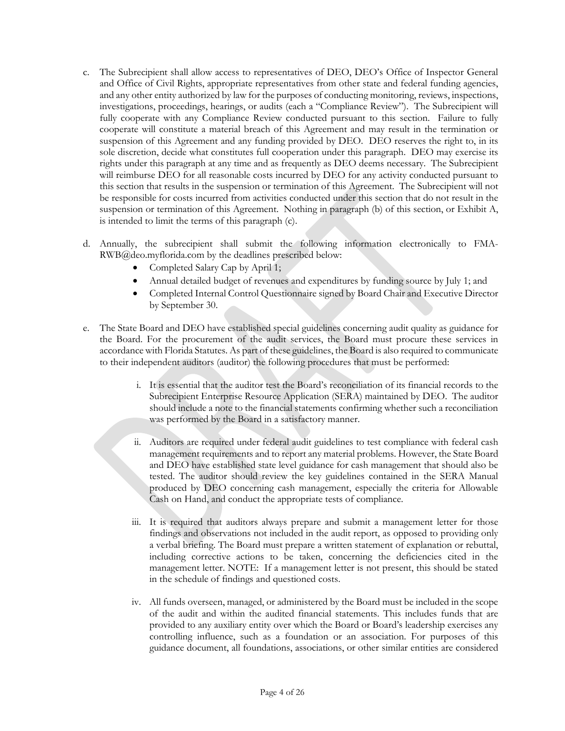- c. The Subrecipient shall allow access to representatives of DEO, DEO's Office of Inspector General and Office of Civil Rights, appropriate representatives from other state and federal funding agencies, and any other entity authorized by law for the purposes of conducting monitoring, reviews, inspections, investigations, proceedings, hearings, or audits (each a "Compliance Review"). The Subrecipient will fully cooperate with any Compliance Review conducted pursuant to this section. Failure to fully cooperate will constitute a material breach of this Agreement and may result in the termination or suspension of this Agreement and any funding provided by DEO. DEO reserves the right to, in its sole discretion, decide what constitutes full cooperation under this paragraph. DEO may exercise its rights under this paragraph at any time and as frequently as DEO deems necessary. The Subrecipient will reimburse DEO for all reasonable costs incurred by DEO for any activity conducted pursuant to this section that results in the suspension or termination of this Agreement. The Subrecipient will not be responsible for costs incurred from activities conducted under this section that do not result in the suspension or termination of this Agreement. Nothing in paragraph (b) of this section, or Exhibit A, is intended to limit the terms of this paragraph (c).
- d. Annually, the subrecipient shall submit the following information electronically to FMA-RWB@deo.myflorida.com by the deadlines prescribed below:
	- Completed Salary Cap by April 1;
	- Annual detailed budget of revenues and expenditures by funding source by July 1; and
	- Completed Internal Control Questionnaire signed by Board Chair and Executive Director by September 30.
- e. The State Board and DEO have established special guidelines concerning audit quality as guidance for the Board. For the procurement of the audit services, the Board must procure these services in accordance with Florida Statutes. As part of these guidelines, the Board is also required to communicate to their independent auditors (auditor) the following procedures that must be performed:
	- i. It is essential that the auditor test the Board's reconciliation of its financial records to the Subrecipient Enterprise Resource Application (SERA) maintained by DEO. The auditor should include a note to the financial statements confirming whether such a reconciliation was performed by the Board in a satisfactory manner.
	- ii. Auditors are required under federal audit guidelines to test compliance with federal cash management requirements and to report any material problems. However, the State Board and DEO have established state level guidance for cash management that should also be tested. The auditor should review the key guidelines contained in the SERA Manual produced by DEO concerning cash management, especially the criteria for Allowable Cash on Hand, and conduct the appropriate tests of compliance.
	- iii. It is required that auditors always prepare and submit a management letter for those findings and observations not included in the audit report, as opposed to providing only a verbal briefing. The Board must prepare a written statement of explanation or rebuttal, including corrective actions to be taken, concerning the deficiencies cited in the management letter. NOTE: If a management letter is not present, this should be stated in the schedule of findings and questioned costs.
	- iv. All funds overseen, managed, or administered by the Board must be included in the scope of the audit and within the audited financial statements. This includes funds that are provided to any auxiliary entity over which the Board or Board's leadership exercises any controlling influence, such as a foundation or an association. For purposes of this guidance document, all foundations, associations, or other similar entities are considered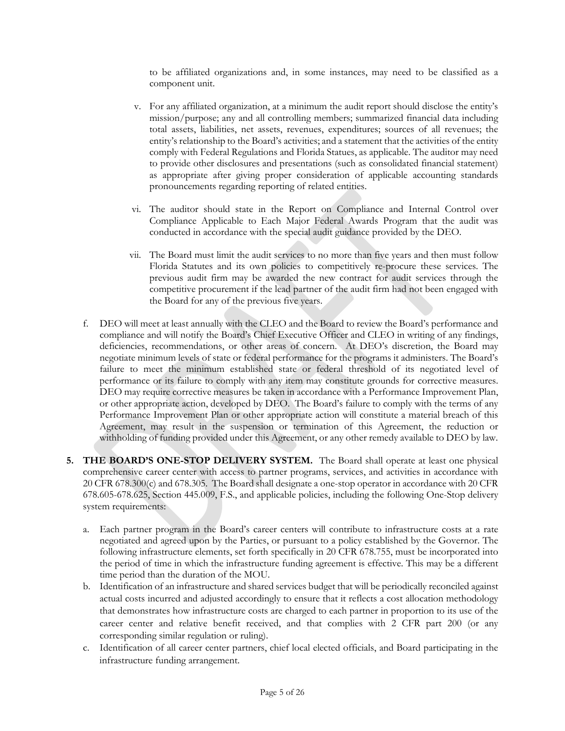to be affiliated organizations and, in some instances, may need to be classified as a component unit.

- v. For any affiliated organization, at a minimum the audit report should disclose the entity's mission/purpose; any and all controlling members; summarized financial data including total assets, liabilities, net assets, revenues, expenditures; sources of all revenues; the entity's relationship to the Board's activities; and a statement that the activities of the entity comply with Federal Regulations and Florida Statues, as applicable. The auditor may need to provide other disclosures and presentations (such as consolidated financial statement) as appropriate after giving proper consideration of applicable accounting standards pronouncements regarding reporting of related entities.
- vi. The auditor should state in the Report on Compliance and Internal Control over Compliance Applicable to Each Major Federal Awards Program that the audit was conducted in accordance with the special audit guidance provided by the DEO.
- vii. The Board must limit the audit services to no more than five years and then must follow Florida Statutes and its own policies to competitively re-procure these services. The previous audit firm may be awarded the new contract for audit services through the competitive procurement if the lead partner of the audit firm had not been engaged with the Board for any of the previous five years.
- f. DEO will meet at least annually with the CLEO and the Board to review the Board's performance and compliance and will notify the Board's Chief Executive Officer and CLEO in writing of any findings, deficiencies, recommendations, or other areas of concern. At DEO's discretion, the Board may negotiate minimum levels of state or federal performance for the programs it administers. The Board's failure to meet the minimum established state or federal threshold of its negotiated level of performance or its failure to comply with any item may constitute grounds for corrective measures. DEO may require corrective measures be taken in accordance with a Performance Improvement Plan, or other appropriate action, developed by DEO. The Board's failure to comply with the terms of any Performance Improvement Plan or other appropriate action will constitute a material breach of this Agreement, may result in the suspension or termination of this Agreement, the reduction or withholding of funding provided under this Agreement, or any other remedy available to DEO by law.
- **5. THE BOARD'S ONE-STOP DELIVERY SYSTEM.** The Board shall operate at least one physical comprehensive career center with access to partner programs, services, and activities in accordance with 20 CFR 678.300(c) and 678.305. The Board shall designate a one-stop operator in accordance with 20 CFR 678.605-678.625, Section 445.009, F.S., and applicable policies, including the following One-Stop delivery system requirements:
	- a. Each partner program in the Board's career centers will contribute to infrastructure costs at a rate negotiated and agreed upon by the Parties, or pursuant to a policy established by the Governor. The following infrastructure elements, set forth specifically in 20 CFR 678.755, must be incorporated into the period of time in which the infrastructure funding agreement is effective. This may be a different time period than the duration of the MOU.
	- b. Identification of an infrastructure and shared services budget that will be periodically reconciled against actual costs incurred and adjusted accordingly to ensure that it reflects a cost allocation methodology that demonstrates how infrastructure costs are charged to each partner in proportion to its use of the career center and relative benefit received, and that complies with 2 CFR part 200 (or any corresponding similar regulation or ruling).
	- c. Identification of all career center partners, chief local elected officials, and Board participating in the infrastructure funding arrangement.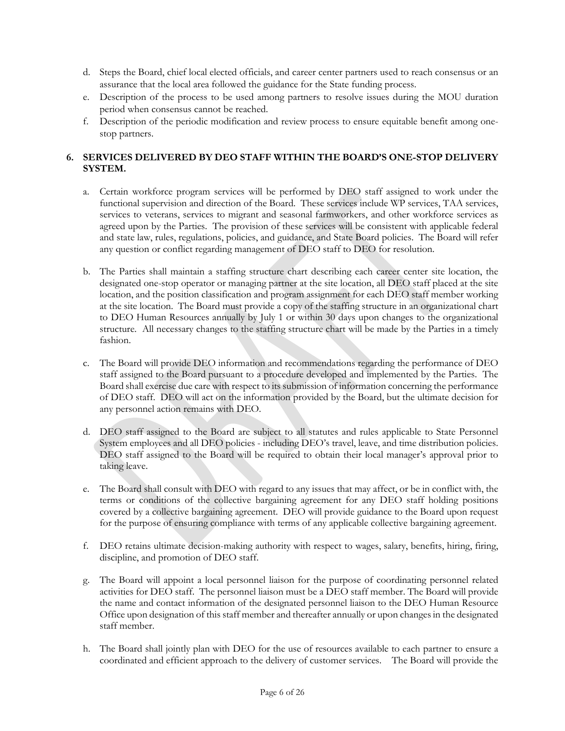- d. Steps the Board, chief local elected officials, and career center partners used to reach consensus or an assurance that the local area followed the guidance for the State funding process.
- e. Description of the process to be used among partners to resolve issues during the MOU duration period when consensus cannot be reached.
- f. Description of the periodic modification and review process to ensure equitable benefit among onestop partners.

# **6. SERVICES DELIVERED BY DEO STAFF WITHIN THE BOARD'S ONE-STOP DELIVERY SYSTEM.**

- a. Certain workforce program services will be performed by DEO staff assigned to work under the functional supervision and direction of the Board. These services include WP services, TAA services, services to veterans, services to migrant and seasonal farmworkers, and other workforce services as agreed upon by the Parties. The provision of these services will be consistent with applicable federal and state law, rules, regulations, policies, and guidance, and State Board policies. The Board will refer any question or conflict regarding management of DEO staff to DEO for resolution.
- b. The Parties shall maintain a staffing structure chart describing each career center site location, the designated one-stop operator or managing partner at the site location, all DEO staff placed at the site location, and the position classification and program assignment for each DEO staff member working at the site location. The Board must provide a copy of the staffing structure in an organizational chart to DEO Human Resources annually by July 1 or within 30 days upon changes to the organizational structure. All necessary changes to the staffing structure chart will be made by the Parties in a timely fashion.
- c. The Board will provide DEO information and recommendations regarding the performance of DEO staff assigned to the Board pursuant to a procedure developed and implemented by the Parties. The Board shall exercise due care with respect to its submission of information concerning the performance of DEO staff. DEO will act on the information provided by the Board, but the ultimate decision for any personnel action remains with DEO.
- d. DEO staff assigned to the Board are subject to all statutes and rules applicable to State Personnel System employees and all DEO policies - including DEO's travel, leave, and time distribution policies. DEO staff assigned to the Board will be required to obtain their local manager's approval prior to taking leave.
- e. The Board shall consult with DEO with regard to any issues that may affect, or be in conflict with, the terms or conditions of the collective bargaining agreement for any DEO staff holding positions covered by a collective bargaining agreement. DEO will provide guidance to the Board upon request for the purpose of ensuring compliance with terms of any applicable collective bargaining agreement.
- f. DEO retains ultimate decision-making authority with respect to wages, salary, benefits, hiring, firing, discipline, and promotion of DEO staff.
- g. The Board will appoint a local personnel liaison for the purpose of coordinating personnel related activities for DEO staff. The personnel liaison must be a DEO staff member. The Board will provide the name and contact information of the designated personnel liaison to the DEO Human Resource Office upon designation of this staff member and thereafter annually or upon changes in the designated staff member.
- h. The Board shall jointly plan with DEO for the use of resources available to each partner to ensure a coordinated and efficient approach to the delivery of customer services. The Board will provide the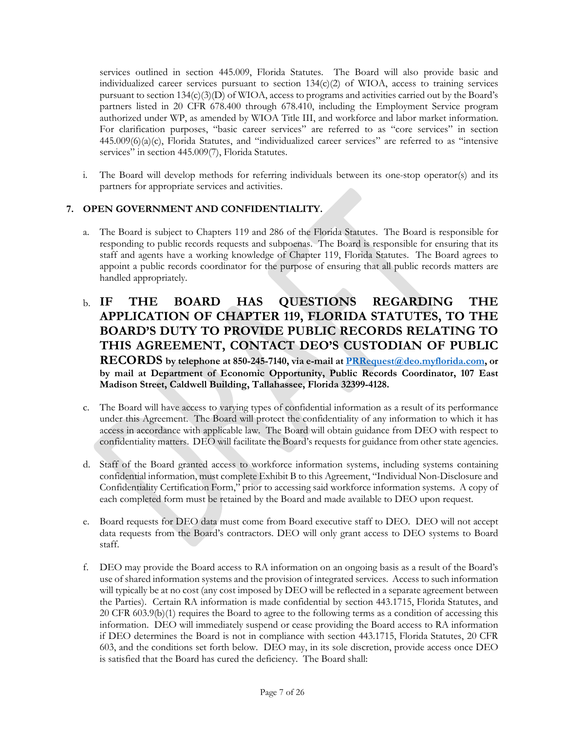services outlined in section 445.009, Florida Statutes. The Board will also provide basic and individualized career services pursuant to section  $134(c)(2)$  of WIOA, access to training services pursuant to section 134(c)(3)(D) of WIOA, access to programs and activities carried out by the Board's partners listed in 20 CFR 678.400 through 678.410, including the Employment Service program authorized under WP, as amended by WIOA Title III, and workforce and labor market information. For clarification purposes, "basic career services" are referred to as "core services" in section  $445.009(6)(a)(c)$ , Florida Statutes, and "individualized career services" are referred to as "intensive services" in section 445.009(7), Florida Statutes.

i. The Board will develop methods for referring individuals between its one-stop operator(s) and its partners for appropriate services and activities.

# **7. OPEN GOVERNMENT AND CONFIDENTIALITY.**

- a. The Board is subject to Chapters 119 and 286 of the Florida Statutes. The Board is responsible for responding to public records requests and subpoenas. The Board is responsible for ensuring that its staff and agents have a working knowledge of Chapter 119, Florida Statutes. The Board agrees to appoint a public records coordinator for the purpose of ensuring that all public records matters are handled appropriately.
- b. **IF THE BOARD HAS QUESTIONS REGARDING THE APPLICATION OF CHAPTER 119, FLORIDA STATUTES, TO THE BOARD'S DUTY TO PROVIDE PUBLIC RECORDS RELATING TO THIS AGREEMENT, CONTACT DEO'S CUSTODIAN OF PUBLIC RECORDS by telephone at 850-245-7140, via e-mail at [PRRequest@deo.myflorida.com,](mailto:PRRequest@deo.myflorida.com) or by mail at Department of Economic Opportunity, Public Records Coordinator, 107 East Madison Street, Caldwell Building, Tallahassee, Florida 32399-4128.**
- c. The Board will have access to varying types of confidential information as a result of its performance under this Agreement. The Board will protect the confidentiality of any information to which it has access in accordance with applicable law. The Board will obtain guidance from DEO with respect to confidentiality matters. DEO will facilitate the Board's requests for guidance from other state agencies.
- d. Staff of the Board granted access to workforce information systems, including systems containing confidential information, must complete Exhibit B to this Agreement, "Individual Non-Disclosure and Confidentiality Certification Form," prior to accessing said workforce information systems. A copy of each completed form must be retained by the Board and made available to DEO upon request.
- e. Board requests for DEO data must come from Board executive staff to DEO. DEO will not accept data requests from the Board's contractors. DEO will only grant access to DEO systems to Board staff.
- f. DEO may provide the Board access to RA information on an ongoing basis as a result of the Board's use of shared information systems and the provision of integrated services. Access to such information will typically be at no cost (any cost imposed by DEO will be reflected in a separate agreement between the Parties). Certain RA information is made confidential by section 443.1715, Florida Statutes, and 20 CFR 603.9(b)(1) requires the Board to agree to the following terms as a condition of accessing this information. DEO will immediately suspend or cease providing the Board access to RA information if DEO determines the Board is not in compliance with section 443.1715, Florida Statutes, 20 CFR 603, and the conditions set forth below. DEO may, in its sole discretion, provide access once DEO is satisfied that the Board has cured the deficiency. The Board shall: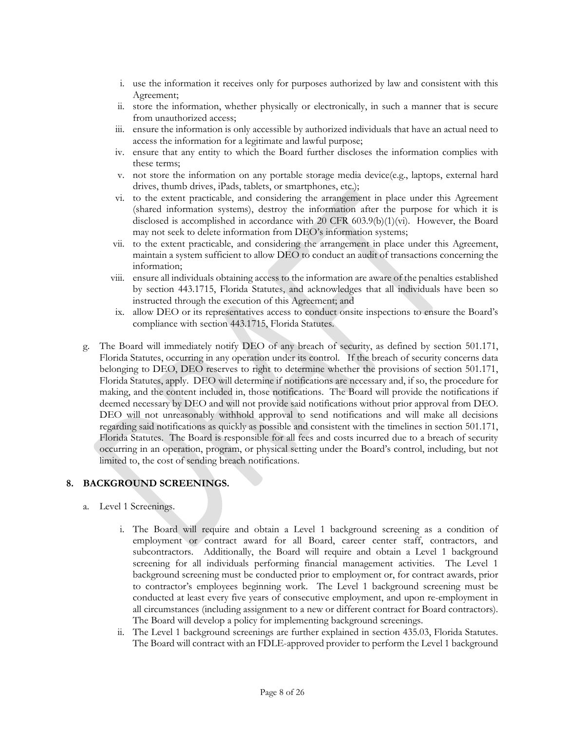- i. use the information it receives only for purposes authorized by law and consistent with this Agreement;
- ii. store the information, whether physically or electronically, in such a manner that is secure from unauthorized access;
- iii. ensure the information is only accessible by authorized individuals that have an actual need to access the information for a legitimate and lawful purpose;
- iv. ensure that any entity to which the Board further discloses the information complies with these terms;
- v. not store the information on any portable storage media device(e.g., laptops, external hard drives, thumb drives, iPads, tablets, or smartphones, etc.);
- vi. to the extent practicable, and considering the arrangement in place under this Agreement (shared information systems), destroy the information after the purpose for which it is disclosed is accomplished in accordance with 20 CFR  $603.9(b)(1)(vi)$ . However, the Board may not seek to delete information from DEO's information systems;
- vii. to the extent practicable, and considering the arrangement in place under this Agreement, maintain a system sufficient to allow DEO to conduct an audit of transactions concerning the information;
- viii. ensure all individuals obtaining access to the information are aware of the penalties established by section 443.1715, Florida Statutes, and acknowledges that all individuals have been so instructed through the execution of this Agreement; and
- ix. allow DEO or its representatives access to conduct onsite inspections to ensure the Board's compliance with section 443.1715, Florida Statutes.
- g. The Board will immediately notify DEO of any breach of security, as defined by section 501.171, Florida Statutes, occurring in any operation under its control. If the breach of security concerns data belonging to DEO, DEO reserves to right to determine whether the provisions of section 501.171, Florida Statutes, apply. DEO will determine if notifications are necessary and, if so, the procedure for making, and the content included in, those notifications. The Board will provide the notifications if deemed necessary by DEO and will not provide said notifications without prior approval from DEO. DEO will not unreasonably withhold approval to send notifications and will make all decisions regarding said notifications as quickly as possible and consistent with the timelines in section 501.171, Florida Statutes. The Board is responsible for all fees and costs incurred due to a breach of security occurring in an operation, program, or physical setting under the Board's control, including, but not limited to, the cost of sending breach notifications.

## **8. BACKGROUND SCREENINGS.**

- a. Level 1 Screenings.
	- i. The Board will require and obtain a Level 1 background screening as a condition of employment or contract award for all Board, career center staff, contractors, and subcontractors. Additionally, the Board will require and obtain a Level 1 background screening for all individuals performing financial management activities. The Level 1 background screening must be conducted prior to employment or, for contract awards, prior to contractor's employees beginning work. The Level 1 background screening must be conducted at least every five years of consecutive employment, and upon re-employment in all circumstances (including assignment to a new or different contract for Board contractors). The Board will develop a policy for implementing background screenings.
	- ii. The Level 1 background screenings are further explained in section 435.03, Florida Statutes. The Board will contract with an FDLE-approved provider to perform the Level 1 background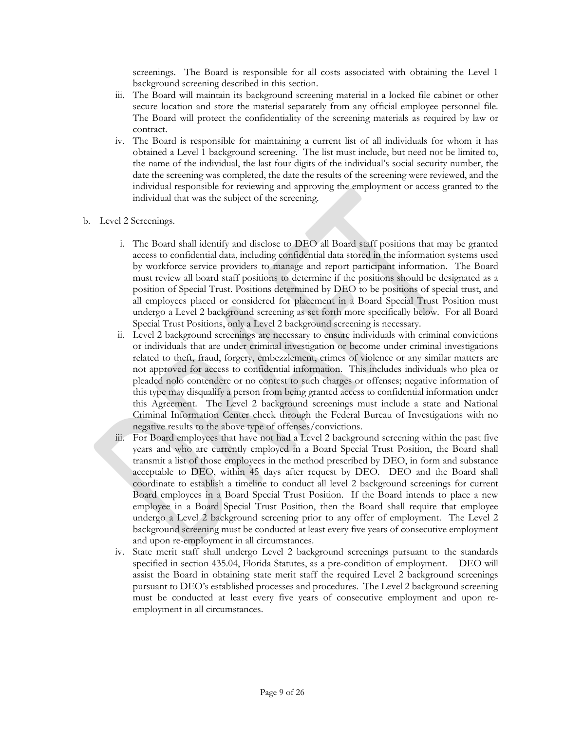screenings. The Board is responsible for all costs associated with obtaining the Level 1 background screening described in this section.

- iii. The Board will maintain its background screening material in a locked file cabinet or other secure location and store the material separately from any official employee personnel file. The Board will protect the confidentiality of the screening materials as required by law or contract.
- iv. The Board is responsible for maintaining a current list of all individuals for whom it has obtained a Level 1 background screening. The list must include, but need not be limited to, the name of the individual, the last four digits of the individual's social security number, the date the screening was completed, the date the results of the screening were reviewed, and the individual responsible for reviewing and approving the employment or access granted to the individual that was the subject of the screening.
- b. Level 2 Screenings.
	- i. The Board shall identify and disclose to DEO all Board staff positions that may be granted access to confidential data, including confidential data stored in the information systems used by workforce service providers to manage and report participant information. The Board must review all board staff positions to determine if the positions should be designated as a position of Special Trust. Positions determined by DEO to be positions of special trust, and all employees placed or considered for placement in a Board Special Trust Position must undergo a Level 2 background screening as set forth more specifically below. For all Board Special Trust Positions, only a Level 2 background screening is necessary.
	- ii. Level 2 background screenings are necessary to ensure individuals with criminal convictions or individuals that are under criminal investigation or become under criminal investigations related to theft, fraud, forgery, embezzlement, crimes of violence or any similar matters are not approved for access to confidential information. This includes individuals who plea or pleaded nolo contendere or no contest to such charges or offenses; negative information of this type may disqualify a person from being granted access to confidential information under this Agreement. The Level 2 background screenings must include a state and National Criminal Information Center check through the Federal Bureau of Investigations with no negative results to the above type of offenses/convictions.
	- iii. For Board employees that have not had a Level 2 background screening within the past five years and who are currently employed in a Board Special Trust Position, the Board shall transmit a list of those employees in the method prescribed by DEO, in form and substance acceptable to DEO, within 45 days after request by DEO. DEO and the Board shall coordinate to establish a timeline to conduct all level 2 background screenings for current Board employees in a Board Special Trust Position. If the Board intends to place a new employee in a Board Special Trust Position, then the Board shall require that employee undergo a Level 2 background screening prior to any offer of employment. The Level 2 background screening must be conducted at least every five years of consecutive employment and upon re-employment in all circumstances.
	- iv. State merit staff shall undergo Level 2 background screenings pursuant to the standards specified in section 435.04, Florida Statutes, as a pre-condition of employment. DEO will assist the Board in obtaining state merit staff the required Level 2 background screenings pursuant to DEO's established processes and procedures. The Level 2 background screening must be conducted at least every five years of consecutive employment and upon reemployment in all circumstances.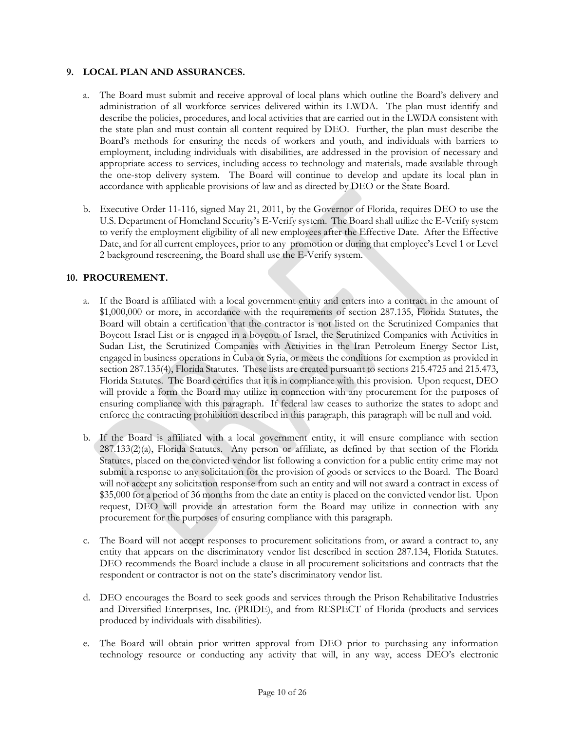### **9. LOCAL PLAN AND ASSURANCES.**

- a. The Board must submit and receive approval of local plans which outline the Board's delivery and administration of all workforce services delivered within its LWDA. The plan must identify and describe the policies, procedures, and local activities that are carried out in the LWDA consistent with the state plan and must contain all content required by DEO. Further, the plan must describe the Board's methods for ensuring the needs of workers and youth, and individuals with barriers to employment, including individuals with disabilities, are addressed in the provision of necessary and appropriate access to services, including access to technology and materials, made available through the one-stop delivery system. The Board will continue to develop and update its local plan in accordance with applicable provisions of law and as directed by DEO or the State Board.
- b. Executive Order 11-116, signed May 21, 2011, by the Governor of Florida, requires DEO to use the U.S. Department of Homeland Security's E-Verify system. The Board shall utilize the E-Verify system to verify the employment eligibility of all new employees after the Effective Date. After the Effective Date, and for all current employees, prior to any promotion or during that employee's Level 1 or Level 2 background rescreening, the Board shall use the E-Verify system.

### **10. PROCUREMENT.**

- a. If the Board is affiliated with a local government entity and enters into a contract in the amount of \$1,000,000 or more, in accordance with the requirements of section 287.135, Florida Statutes, the Board will obtain a certification that the contractor is not listed on the Scrutinized Companies that Boycott Israel List or is engaged in a boycott of Israel, the Scrutinized Companies with Activities in Sudan List, the Scrutinized Companies with Activities in the Iran Petroleum Energy Sector List, engaged in business operations in Cuba or Syria, or meets the conditions for exemption as provided in section 287.135(4), Florida Statutes. These lists are created pursuant to sections 215.4725 and 215.473, Florida Statutes. The Board certifies that it is in compliance with this provision. Upon request, DEO will provide a form the Board may utilize in connection with any procurement for the purposes of ensuring compliance with this paragraph. If federal law ceases to authorize the states to adopt and enforce the contracting prohibition described in this paragraph, this paragraph will be null and void.
- b. If the Board is affiliated with a local government entity, it will ensure compliance with section 287.133(2)(a), Florida Statutes. Any person or affiliate, as defined by that section of the Florida Statutes, placed on the convicted vendor list following a conviction for a public entity crime may not submit a response to any solicitation for the provision of goods or services to the Board. The Board will not accept any solicitation response from such an entity and will not award a contract in excess of \$35,000 for a period of 36 months from the date an entity is placed on the convicted vendor list. Upon request, DEO will provide an attestation form the Board may utilize in connection with any procurement for the purposes of ensuring compliance with this paragraph.
- c. The Board will not accept responses to procurement solicitations from, or award a contract to, any entity that appears on the discriminatory vendor list described in section 287.134, Florida Statutes. DEO recommends the Board include a clause in all procurement solicitations and contracts that the respondent or contractor is not on the state's discriminatory vendor list.
- d. DEO encourages the Board to seek goods and services through the Prison Rehabilitative Industries and Diversified Enterprises, Inc. (PRIDE), and from RESPECT of Florida (products and services produced by individuals with disabilities).
- e. The Board will obtain prior written approval from DEO prior to purchasing any information technology resource or conducting any activity that will, in any way, access DEO's electronic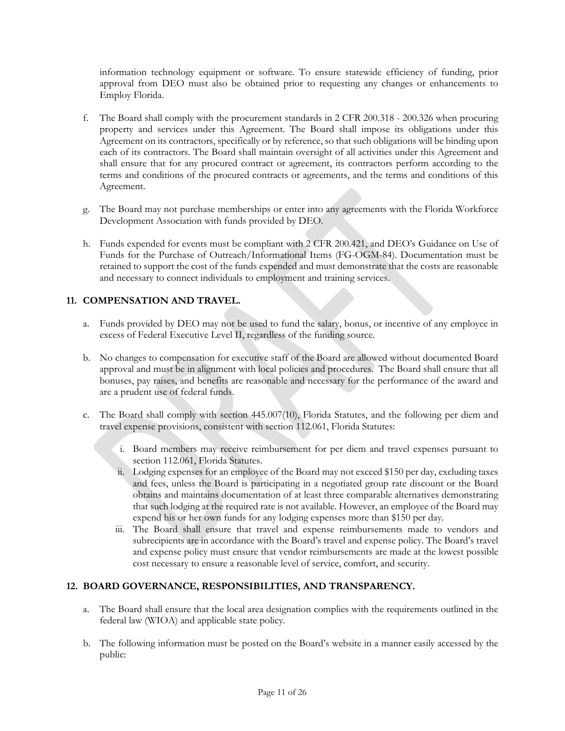information technology equipment or software. To ensure statewide efficiency of funding, prior approval from DEO must also be obtained prior to requesting any changes or enhancements to Employ Florida.

- f. The Board shall comply with the procurement standards in 2 CFR 200.318 200.326 when procuring property and services under this Agreement. The Board shall impose its obligations under this Agreement on its contractors, specifically or by reference, so that such obligations will be binding upon each of its contractors. The Board shall maintain oversight of all activities under this Agreement and shall ensure that for any procured contract or agreement, its contractors perform according to the terms and conditions of the procured contracts or agreements, and the terms and conditions of this Agreement.
- g. The Board may not purchase memberships or enter into any agreements with the Florida Workforce Development Association with funds provided by DEO.
- h. Funds expended for events must be compliant with 2 CFR 200.421, and DEO's Guidance on Use of Funds for the Purchase of Outreach/Informational Items (FG-OGM-84). Documentation must be retained to support the cost of the funds expended and must demonstrate that the costs are reasonable and necessary to connect individuals to employment and training services.

## **11. COMPENSATION AND TRAVEL.**

- a. Funds provided by DEO may not be used to fund the salary, bonus, or incentive of any employee in excess of Federal Executive Level II, regardless of the funding source.
- b. No changes to compensation for executive staff of the Board are allowed without documented Board approval and must be in alignment with local policies and procedures. The Board shall ensure that all bonuses, pay raises, and benefits are reasonable and necessary for the performance of the award and are a prudent use of federal funds.
- c. The Board shall comply with section 445.007(10), Florida Statutes, and the following per diem and travel expense provisions, consistent with section 112.061, Florida Statutes:
	- i. Board members may receive reimbursement for per diem and travel expenses pursuant to section 112.061, Florida Statutes.
	- ii. Lodging expenses for an employee of the Board may not exceed \$150 per day, excluding taxes and fees, unless the Board is participating in a negotiated group rate discount or the Board obtains and maintains documentation of at least three comparable alternatives demonstrating that such lodging at the required rate is not available. However, an employee of the Board may expend his or her own funds for any lodging expenses more than \$150 per day.
	- iii. The Board shall ensure that travel and expense reimbursements made to vendors and subrecipients are in accordance with the Board's travel and expense policy. The Board's travel and expense policy must ensure that vendor reimbursements are made at the lowest possible cost necessary to ensure a reasonable level of service, comfort, and security.

## **12. BOARD GOVERNANCE, RESPONSIBILITIES, AND TRANSPARENCY.**

- a. The Board shall ensure that the local area designation complies with the requirements outlined in the federal law (WIOA) and applicable state policy.
- b. The following information must be posted on the Board's website in a manner easily accessed by the public: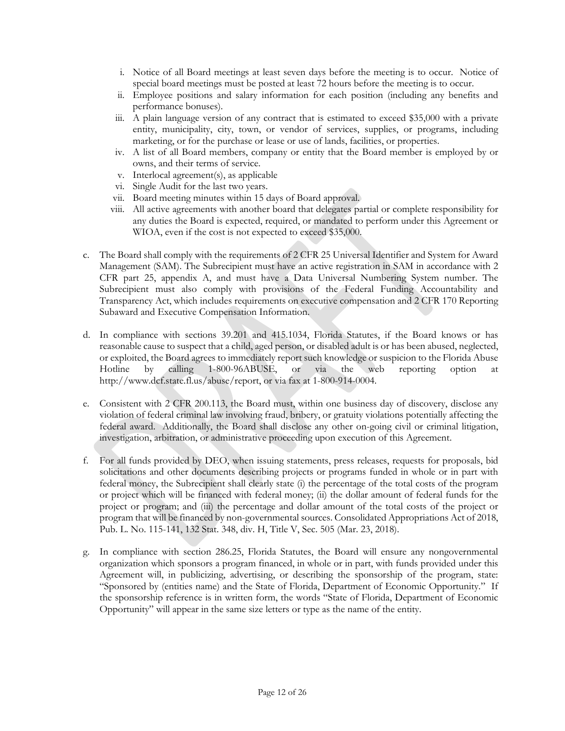- i. Notice of all Board meetings at least seven days before the meeting is to occur. Notice of special board meetings must be posted at least 72 hours before the meeting is to occur.
- ii. Employee positions and salary information for each position (including any benefits and performance bonuses).
- iii. A plain language version of any contract that is estimated to exceed \$35,000 with a private entity, municipality, city, town, or vendor of services, supplies, or programs, including marketing, or for the purchase or lease or use of lands, facilities, or properties.
- iv. A list of all Board members, company or entity that the Board member is employed by or owns, and their terms of service.
- v. Interlocal agreement(s), as applicable
- vi. Single Audit for the last two years.
- vii. Board meeting minutes within 15 days of Board approval.
- viii. All active agreements with another board that delegates partial or complete responsibility for any duties the Board is expected, required, or mandated to perform under this Agreement or WIOA, even if the cost is not expected to exceed \$35,000.
- c. The Board shall comply with the requirements of 2 CFR 25 Universal Identifier and System for Award Management (SAM). The Subrecipient must have an active registration in SAM in accordance with 2 CFR part 25, appendix A, and must have a Data Universal Numbering System number. The Subrecipient must also comply with provisions of the Federal Funding Accountability and Transparency Act, which includes requirements on executive compensation and 2 CFR 170 Reporting Subaward and Executive Compensation Information.
- d. In compliance with sections 39.201 and 415.1034, Florida Statutes, if the Board knows or has reasonable cause to suspect that a child, aged person, or disabled adult is or has been abused, neglected, or exploited, the Board agrees to immediately report such knowledge or suspicion to the Florida Abuse Hotline by calling 1-800-96ABUSE, or via the web reporting option at http://www.dcf.state.fl.us/abuse/report, or via fax at 1-800-914-0004.
- e. Consistent with 2 CFR 200.113, the Board must, within one business day of discovery, disclose any violation of federal criminal law involving fraud, bribery, or gratuity violations potentially affecting the federal award. Additionally, the Board shall disclose any other on-going civil or criminal litigation, investigation, arbitration, or administrative proceeding upon execution of this Agreement.
- f. For all funds provided by DEO, when issuing statements, press releases, requests for proposals, bid solicitations and other documents describing projects or programs funded in whole or in part with federal money, the Subrecipient shall clearly state (i) the percentage of the total costs of the program or project which will be financed with federal money; (ii) the dollar amount of federal funds for the project or program; and (iii) the percentage and dollar amount of the total costs of the project or program that will be financed by non-governmental sources. Consolidated Appropriations Act of 2018, Pub. L. No. 115-141, 132 Stat. 348, div. H, Title V, Sec. 505 (Mar. 23, 2018).
- g. In compliance with section 286.25, Florida Statutes, the Board will ensure any nongovernmental organization which sponsors a program financed, in whole or in part, with funds provided under this Agreement will, in publicizing, advertising, or describing the sponsorship of the program, state: "Sponsored by (entities name) and the State of Florida, Department of Economic Opportunity." If the sponsorship reference is in written form, the words "State of Florida, Department of Economic Opportunity" will appear in the same size letters or type as the name of the entity.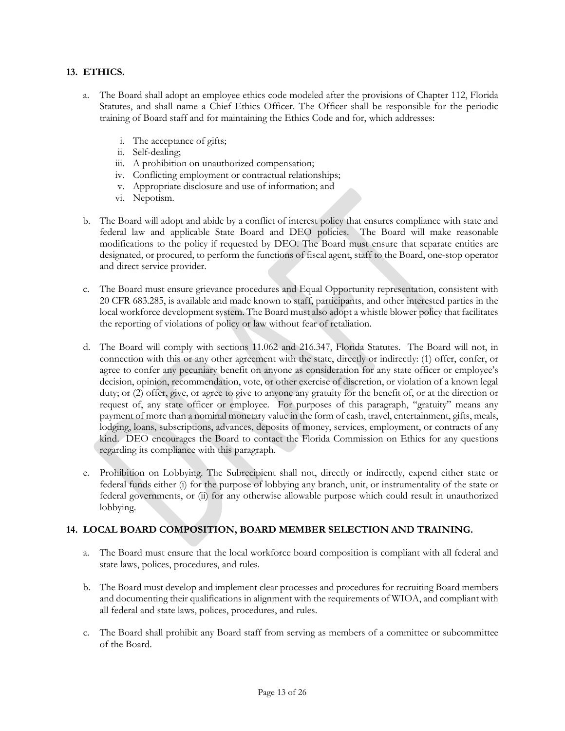## **13. ETHICS.**

- a. The Board shall adopt an employee ethics code modeled after the provisions of Chapter 112, Florida Statutes, and shall name a Chief Ethics Officer. The Officer shall be responsible for the periodic training of Board staff and for maintaining the Ethics Code and for, which addresses:
	- i. The acceptance of gifts;
	- ii. Self-dealing;
	- iii. A prohibition on unauthorized compensation;
	- iv. Conflicting employment or contractual relationships;
	- v. Appropriate disclosure and use of information; and
	- vi. Nepotism.
- b. The Board will adopt and abide by a conflict of interest policy that ensures compliance with state and federal law and applicable State Board and DEO policies. The Board will make reasonable modifications to the policy if requested by DEO. The Board must ensure that separate entities are designated, or procured, to perform the functions of fiscal agent, staff to the Board, one-stop operator and direct service provider.
- c. The Board must ensure grievance procedures and Equal Opportunity representation, consistent with 20 CFR 683.285, is available and made known to staff, participants, and other interested parties in the local workforce development system. The Board must also adopt a whistle blower policy that facilitates the reporting of violations of policy or law without fear of retaliation.
- d. The Board will comply with sections 11.062 and 216.347, Florida Statutes. The Board will not, in connection with this or any other agreement with the state, directly or indirectly: (1) offer, confer, or agree to confer any pecuniary benefit on anyone as consideration for any state officer or employee's decision, opinion, recommendation, vote, or other exercise of discretion, or violation of a known legal duty; or (2) offer, give, or agree to give to anyone any gratuity for the benefit of, or at the direction or request of, any state officer or employee. For purposes of this paragraph, "gratuity" means any payment of more than a nominal monetary value in the form of cash, travel, entertainment, gifts, meals, lodging, loans, subscriptions, advances, deposits of money, services, employment, or contracts of any kind. DEO encourages the Board to contact the Florida Commission on Ethics for any questions regarding its compliance with this paragraph.
- e. Prohibition on Lobbying. The Subrecipient shall not, directly or indirectly, expend either state or federal funds either (i) for the purpose of lobbying any branch, unit, or instrumentality of the state or federal governments, or (ii) for any otherwise allowable purpose which could result in unauthorized lobbying.

## **14. LOCAL BOARD COMPOSITION, BOARD MEMBER SELECTION AND TRAINING.**

- a. The Board must ensure that the local workforce board composition is compliant with all federal and state laws, polices, procedures, and rules.
- b. The Board must develop and implement clear processes and procedures for recruiting Board members and documenting their qualifications in alignment with the requirements of WIOA, and compliant with all federal and state laws, polices, procedures, and rules.
- c. The Board shall prohibit any Board staff from serving as members of a committee or subcommittee of the Board.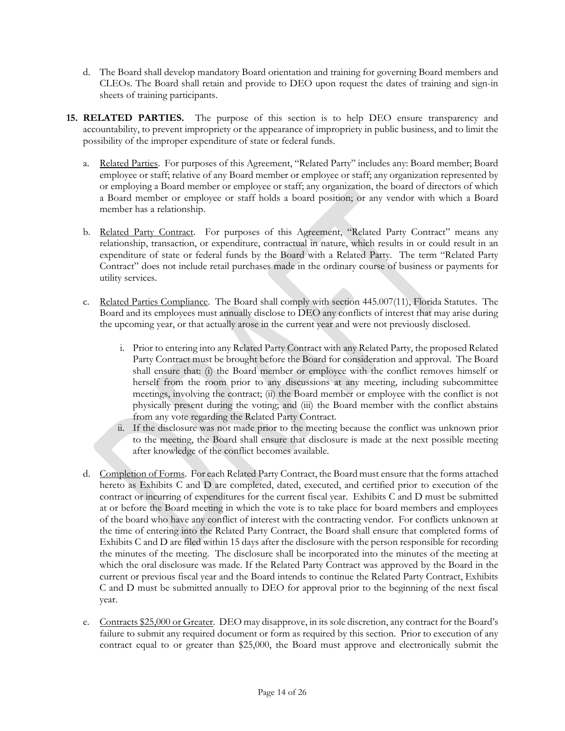- d. The Board shall develop mandatory Board orientation and training for governing Board members and CLEOs. The Board shall retain and provide to DEO upon request the dates of training and sign-in sheets of training participants.
- **15. RELATED PARTIES.** The purpose of this section is to help DEO ensure transparency and accountability, to prevent impropriety or the appearance of impropriety in public business, and to limit the possibility of the improper expenditure of state or federal funds.
	- a. Related Parties. For purposes of this Agreement, "Related Party" includes any: Board member; Board employee or staff; relative of any Board member or employee or staff; any organization represented by or employing a Board member or employee or staff; any organization, the board of directors of which a Board member or employee or staff holds a board position; or any vendor with which a Board member has a relationship.
	- b. Related Party Contract. For purposes of this Agreement, "Related Party Contract" means any relationship, transaction, or expenditure, contractual in nature, which results in or could result in an expenditure of state or federal funds by the Board with a Related Party. The term "Related Party Contract" does not include retail purchases made in the ordinary course of business or payments for utility services.
	- c. Related Parties Compliance. The Board shall comply with section 445.007(11), Florida Statutes. The Board and its employees must annually disclose to DEO any conflicts of interest that may arise during the upcoming year, or that actually arose in the current year and were not previously disclosed.
		- i. Prior to entering into any Related Party Contract with any Related Party, the proposed Related Party Contract must be brought before the Board for consideration and approval. The Board shall ensure that: (i) the Board member or employee with the conflict removes himself or herself from the room prior to any discussions at any meeting, including subcommittee meetings, involving the contract; (ii) the Board member or employee with the conflict is not physically present during the voting; and (iii) the Board member with the conflict abstains from any vote regarding the Related Party Contract.
		- ii. If the disclosure was not made prior to the meeting because the conflict was unknown prior to the meeting, the Board shall ensure that disclosure is made at the next possible meeting after knowledge of the conflict becomes available.
	- d. Completion of Forms. For each Related Party Contract, the Board must ensure that the forms attached hereto as Exhibits C and D are completed, dated, executed, and certified prior to execution of the contract or incurring of expenditures for the current fiscal year. Exhibits C and D must be submitted at or before the Board meeting in which the vote is to take place for board members and employees of the board who have any conflict of interest with the contracting vendor. For conflicts unknown at the time of entering into the Related Party Contract, the Board shall ensure that completed forms of Exhibits C and D are filed within 15 days after the disclosure with the person responsible for recording the minutes of the meeting. The disclosure shall be incorporated into the minutes of the meeting at which the oral disclosure was made. If the Related Party Contract was approved by the Board in the current or previous fiscal year and the Board intends to continue the Related Party Contract, Exhibits C and D must be submitted annually to DEO for approval prior to the beginning of the next fiscal year.
	- e. Contracts \$25,000 or Greater. DEO may disapprove, in its sole discretion, any contract for the Board's failure to submit any required document or form as required by this section. Prior to execution of any contract equal to or greater than \$25,000, the Board must approve and electronically submit the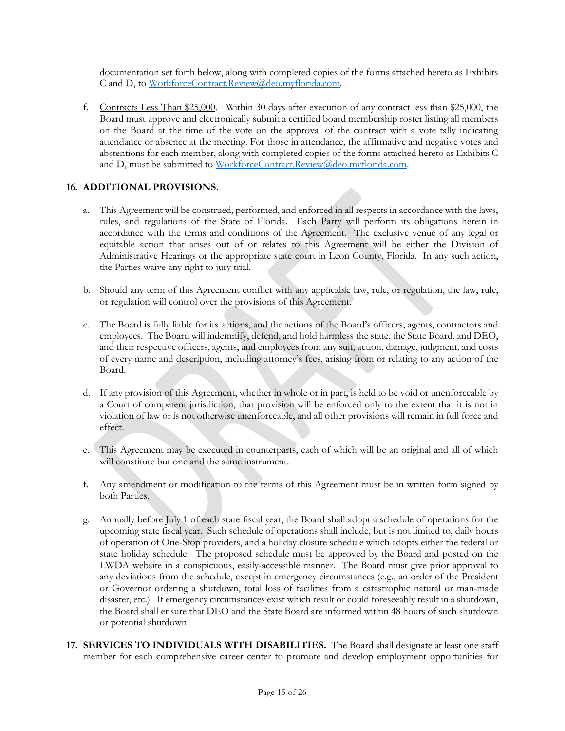documentation set forth below, along with completed copies of the forms attached hereto as Exhibits C and D, to [WorkforceContract.Review@deo.myflorida.com.](mailto:WorkforceContract.Review@deo.myflorida.com)

f. Contracts Less Than \$25,000. Within 30 days after execution of any contract less than \$25,000, the Board must approve and electronically submit a certified board membership roster listing all members on the Board at the time of the vote on the approval of the contract with a vote tally indicating attendance or absence at the meeting. For those in attendance, the affirmative and negative votes and abstentions for each member, along with completed copies of the forms attached hereto as Exhibits C and D, must be submitted to [WorkforceContract.Review@deo.myflorida.com.](mailto:WorkforceContract.Review@deo.myflorida.com)

## **16. ADDITIONAL PROVISIONS.**

- a. This Agreement will be construed, performed, and enforced in all respects in accordance with the laws, rules, and regulations of the State of Florida. Each Party will perform its obligations herein in accordance with the terms and conditions of the Agreement. The exclusive venue of any legal or equitable action that arises out of or relates to this Agreement will be either the Division of Administrative Hearings or the appropriate state court in Leon County, Florida. In any such action, the Parties waive any right to jury trial.
- b. Should any term of this Agreement conflict with any applicable law, rule, or regulation, the law, rule, or regulation will control over the provisions of this Agreement.
- c. The Board is fully liable for its actions, and the actions of the Board's officers, agents, contractors and employees. The Board will indemnify, defend, and hold harmless the state, the State Board, and DEO, and their respective officers, agents, and employees from any suit, action, damage, judgment, and costs of every name and description, including attorney's fees, arising from or relating to any action of the Board.
- d. If any provision of this Agreement, whether in whole or in part, is held to be void or unenforceable by a Court of competent jurisdiction, that provision will be enforced only to the extent that it is not in violation of law or is not otherwise unenforceable, and all other provisions will remain in full force and effect.
- e. This Agreement may be executed in counterparts, each of which will be an original and all of which will constitute but one and the same instrument.
- f. Any amendment or modification to the terms of this Agreement must be in written form signed by both Parties.
- g. Annually before July 1 of each state fiscal year, the Board shall adopt a schedule of operations for the upcoming state fiscal year. Such schedule of operations shall include, but is not limited to, daily hours of operation of One-Stop providers, and a holiday closure schedule which adopts either the federal or state holiday schedule. The proposed schedule must be approved by the Board and posted on the LWDA website in a conspicuous, easily-accessible manner. The Board must give prior approval to any deviations from the schedule, except in emergency circumstances (e.g., an order of the President or Governor ordering a shutdown, total loss of facilities from a catastrophic natural or man-made disaster, etc.). If emergency circumstances exist which result or could foreseeably result in a shutdown, the Board shall ensure that DEO and the State Board are informed within 48 hours of such shutdown or potential shutdown.
- **17. SERVICES TO INDIVIDUALS WITH DISABILITIES.** The Board shall designate at least one staff member for each comprehensive career center to promote and develop employment opportunities for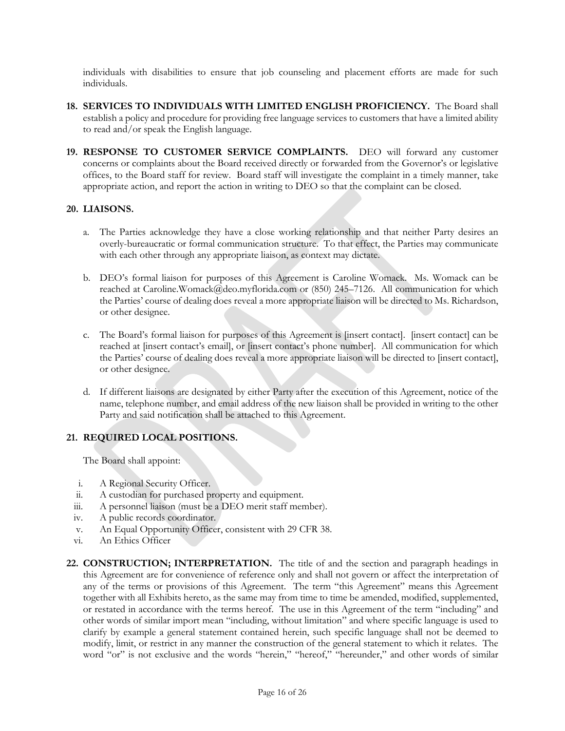individuals with disabilities to ensure that job counseling and placement efforts are made for such individuals.

- **18. SERVICES TO INDIVIDUALS WITH LIMITED ENGLISH PROFICIENCY.** The Board shall establish a policy and procedure for providing free language services to customers that have a limited ability to read and/or speak the English language.
- **19. RESPONSE TO CUSTOMER SERVICE COMPLAINTS.** DEO will forward any customer concerns or complaints about the Board received directly or forwarded from the Governor's or legislative offices, to the Board staff for review. Board staff will investigate the complaint in a timely manner, take appropriate action, and report the action in writing to DEO so that the complaint can be closed.

## **20. LIAISONS.**

- a. The Parties acknowledge they have a close working relationship and that neither Party desires an overly-bureaucratic or formal communication structure. To that effect, the Parties may communicate with each other through any appropriate liaison, as context may dictate.
- b. DEO's formal liaison for purposes of this Agreement is Caroline Womack. Ms. Womack can be reached at Caroline.Womack@deo.myflorida.com or (850) 245–7126. All communication for which the Parties' course of dealing does reveal a more appropriate liaison will be directed to Ms. Richardson, or other designee.
- c. The Board's formal liaison for purposes of this Agreement is [insert contact]. [insert contact] can be reached at [insert contact's email], or [insert contact's phone number]. All communication for which the Parties' course of dealing does reveal a more appropriate liaison will be directed to [insert contact], or other designee.
- d. If different liaisons are designated by either Party after the execution of this Agreement, notice of the name, telephone number, and email address of the new liaison shall be provided in writing to the other Party and said notification shall be attached to this Agreement.

# **21. REQUIRED LOCAL POSITIONS.**

The Board shall appoint:

- i. A Regional Security Officer.
- ii. A custodian for purchased property and equipment.
- iii. A personnel liaison (must be a DEO merit staff member).
- iv. A public records coordinator.
- v. An Equal Opportunity Officer, consistent with 29 CFR 38.
- vi. An Ethics Officer
- **22. CONSTRUCTION; INTERPRETATION.** The title of and the section and paragraph headings in this Agreement are for convenience of reference only and shall not govern or affect the interpretation of any of the terms or provisions of this Agreement. The term "this Agreement" means this Agreement together with all Exhibits hereto, as the same may from time to time be amended, modified, supplemented, or restated in accordance with the terms hereof. The use in this Agreement of the term "including" and other words of similar import mean "including, without limitation" and where specific language is used to clarify by example a general statement contained herein, such specific language shall not be deemed to modify, limit, or restrict in any manner the construction of the general statement to which it relates. The word "or" is not exclusive and the words "herein," "hereof," "hereunder," and other words of similar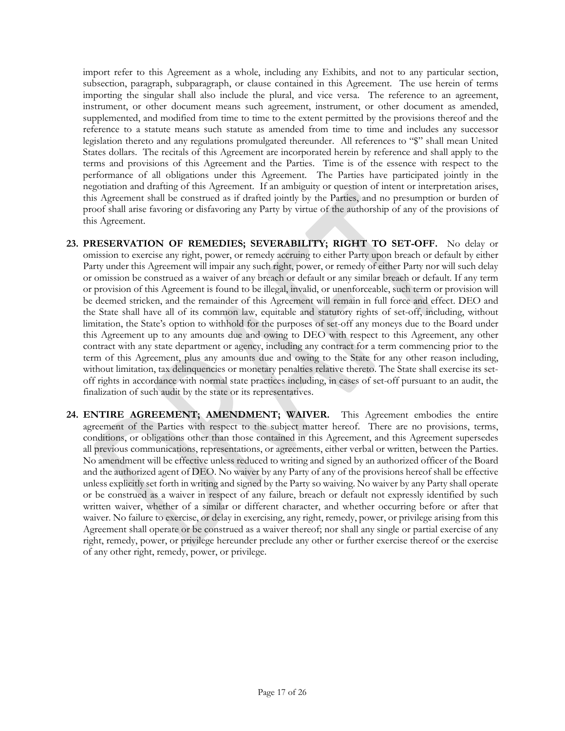import refer to this Agreement as a whole, including any Exhibits, and not to any particular section, subsection, paragraph, subparagraph, or clause contained in this Agreement. The use herein of terms importing the singular shall also include the plural, and vice versa. The reference to an agreement, instrument, or other document means such agreement, instrument, or other document as amended, supplemented, and modified from time to time to the extent permitted by the provisions thereof and the reference to a statute means such statute as amended from time to time and includes any successor legislation thereto and any regulations promulgated thereunder. All references to "\$" shall mean United States dollars. The recitals of this Agreement are incorporated herein by reference and shall apply to the terms and provisions of this Agreement and the Parties. Time is of the essence with respect to the performance of all obligations under this Agreement. The Parties have participated jointly in the negotiation and drafting of this Agreement. If an ambiguity or question of intent or interpretation arises, this Agreement shall be construed as if drafted jointly by the Parties, and no presumption or burden of proof shall arise favoring or disfavoring any Party by virtue of the authorship of any of the provisions of this Agreement.

- **23. PRESERVATION OF REMEDIES; SEVERABILITY; RIGHT TO SET-OFF.** No delay or omission to exercise any right, power, or remedy accruing to either Party upon breach or default by either Party under this Agreement will impair any such right, power, or remedy of either Party nor will such delay or omission be construed as a waiver of any breach or default or any similar breach or default. If any term or provision of this Agreement is found to be illegal, invalid, or unenforceable, such term or provision will be deemed stricken, and the remainder of this Agreement will remain in full force and effect. DEO and the State shall have all of its common law, equitable and statutory rights of set-off, including, without limitation, the State's option to withhold for the purposes of set-off any moneys due to the Board under this Agreement up to any amounts due and owing to DEO with respect to this Agreement, any other contract with any state department or agency, including any contract for a term commencing prior to the term of this Agreement, plus any amounts due and owing to the State for any other reason including, without limitation, tax delinquencies or monetary penalties relative thereto. The State shall exercise its setoff rights in accordance with normal state practices including, in cases of set-off pursuant to an audit, the finalization of such audit by the state or its representatives.
- **24. ENTIRE AGREEMENT; AMENDMENT; WAIVER.** This Agreement embodies the entire agreement of the Parties with respect to the subject matter hereof. There are no provisions, terms, conditions, or obligations other than those contained in this Agreement, and this Agreement supersedes all previous communications, representations, or agreements, either verbal or written, between the Parties. No amendment will be effective unless reduced to writing and signed by an authorized officer of the Board and the authorized agent of DEO. No waiver by any Party of any of the provisions hereof shall be effective unless explicitly set forth in writing and signed by the Party so waiving. No waiver by any Party shall operate or be construed as a waiver in respect of any failure, breach or default not expressly identified by such written waiver, whether of a similar or different character, and whether occurring before or after that waiver. No failure to exercise, or delay in exercising, any right, remedy, power, or privilege arising from this Agreement shall operate or be construed as a waiver thereof; nor shall any single or partial exercise of any right, remedy, power, or privilege hereunder preclude any other or further exercise thereof or the exercise of any other right, remedy, power, or privilege.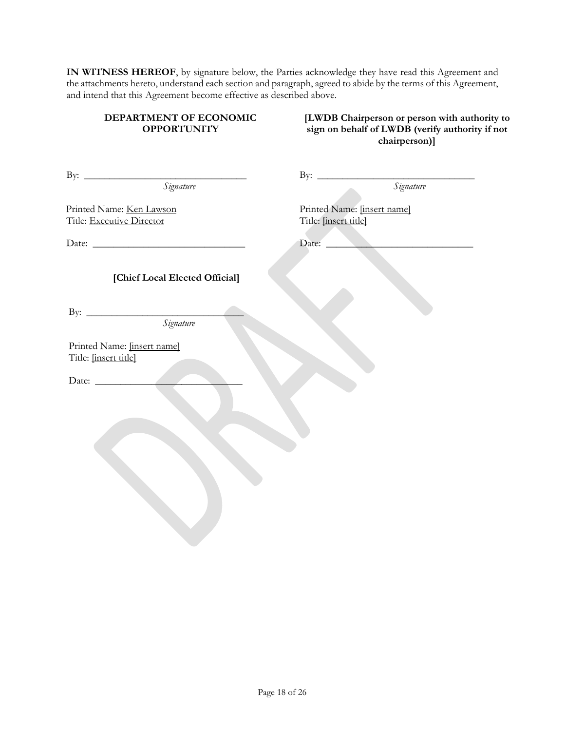**IN WITNESS HEREOF**, by signature below, the Parties acknowledge they have read this Agreement and the attachments hereto, understand each section and paragraph, agreed to abide by the terms of this Agreement, and intend that this Agreement become effective as described above.

### **DEPARTMENT OF ECONOMIC OPPORTUNITY**

**[LWDB Chairperson or person with authority to sign on behalf of LWDB (verify authority if not chairperson)]**

| By: <u>Signature</u>                                  | By: Signature                                        |
|-------------------------------------------------------|------------------------------------------------------|
| Printed Name: Ken Lawson<br>Title: Executive Director | Printed Name: [insert name]<br>Title: [insert title] |
|                                                       | Date:                                                |
| [Chief Local Elected Official]                        |                                                      |
| By: Signature                                         |                                                      |
| Printed Name: [insert name]<br>Title: [insert title]  |                                                      |
|                                                       |                                                      |
|                                                       |                                                      |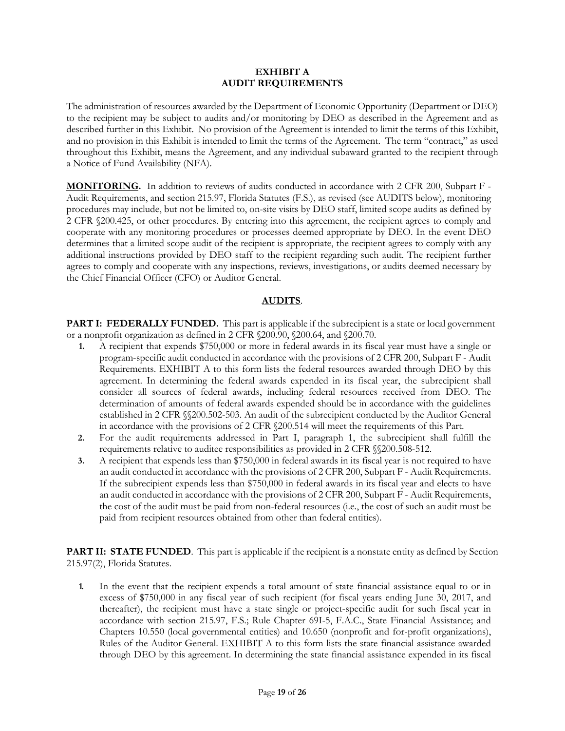#### **EXHIBIT A AUDIT REQUIREMENTS**

The administration of resources awarded by the Department of Economic Opportunity (Department or DEO) to the recipient may be subject to audits and/or monitoring by DEO as described in the Agreement and as described further in this Exhibit. No provision of the Agreement is intended to limit the terms of this Exhibit, and no provision in this Exhibit is intended to limit the terms of the Agreement. The term "contract," as used throughout this Exhibit, means the Agreement, and any individual subaward granted to the recipient through a Notice of Fund Availability (NFA).

**MONITORING.** In addition to reviews of audits conducted in accordance with 2 CFR 200, Subpart F - Audit Requirements, and section 215.97, Florida Statutes (F.S.), as revised (see AUDITS below), monitoring procedures may include, but not be limited to, on-site visits by DEO staff, limited scope audits as defined by 2 CFR §200.425, or other procedures. By entering into this agreement, the recipient agrees to comply and cooperate with any monitoring procedures or processes deemed appropriate by DEO. In the event DEO determines that a limited scope audit of the recipient is appropriate, the recipient agrees to comply with any additional instructions provided by DEO staff to the recipient regarding such audit. The recipient further agrees to comply and cooperate with any inspections, reviews, investigations, or audits deemed necessary by the Chief Financial Officer (CFO) or Auditor General.

## **AUDITS**.

**PART I: FEDERALLY FUNDED.** This part is applicable if the subrecipient is a state or local government or a nonprofit organization as defined in 2 CFR §200.90, §200.64, and §200.70.

- **1.** A recipient that expends \$750,000 or more in federal awards in its fiscal year must have a single or program-specific audit conducted in accordance with the provisions of 2 CFR 200, Subpart F - Audit Requirements. EXHIBIT A to this form lists the federal resources awarded through DEO by this agreement. In determining the federal awards expended in its fiscal year, the subrecipient shall consider all sources of federal awards, including federal resources received from DEO. The determination of amounts of federal awards expended should be in accordance with the guidelines established in 2 CFR §§200.502-503. An audit of the subrecipient conducted by the Auditor General in accordance with the provisions of 2 CFR §200.514 will meet the requirements of this Part.
- **2.** For the audit requirements addressed in Part I, paragraph 1, the subrecipient shall fulfill the requirements relative to auditee responsibilities as provided in 2 CFR §§200.508-512.
- **3.** A recipient that expends less than \$750,000 in federal awards in its fiscal year is not required to have an audit conducted in accordance with the provisions of 2 CFR 200, Subpart F - Audit Requirements. If the subrecipient expends less than \$750,000 in federal awards in its fiscal year and elects to have an audit conducted in accordance with the provisions of 2 CFR 200, Subpart F - Audit Requirements, the cost of the audit must be paid from non-federal resources (i.e., the cost of such an audit must be paid from recipient resources obtained from other than federal entities).

**PART II: STATE FUNDED.** This part is applicable if the recipient is a nonstate entity as defined by Section 215.97(2), Florida Statutes.

**1.** In the event that the recipient expends a total amount of state financial assistance equal to or in excess of \$750,000 in any fiscal year of such recipient (for fiscal years ending June 30, 2017, and thereafter), the recipient must have a state single or project-specific audit for such fiscal year in accordance with section 215.97, F.S.; Rule Chapter 69I-5, F.A.C., State Financial Assistance; and Chapters 10.550 (local governmental entities) and 10.650 (nonprofit and for-profit organizations), Rules of the Auditor General. EXHIBIT A to this form lists the state financial assistance awarded through DEO by this agreement. In determining the state financial assistance expended in its fiscal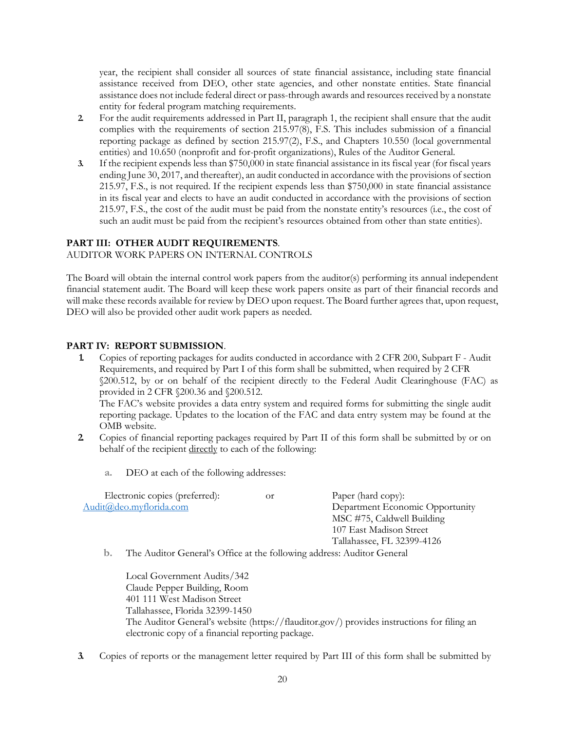year, the recipient shall consider all sources of state financial assistance, including state financial assistance received from DEO, other state agencies, and other nonstate entities. State financial assistance does not include federal direct or pass-through awards and resources received by a nonstate entity for federal program matching requirements.

- **2.** For the audit requirements addressed in Part II, paragraph 1, the recipient shall ensure that the audit complies with the requirements of section 215.97(8), F.S. This includes submission of a financial reporting package as defined by section 215.97(2), F.S., and Chapters 10.550 (local governmental entities) and 10.650 (nonprofit and for-profit organizations), Rules of the Auditor General.
- **3.** If the recipient expends less than \$750,000 in state financial assistance in its fiscal year (for fiscal years ending June 30, 2017, and thereafter), an audit conducted in accordance with the provisions of section 215.97, F.S., is not required. If the recipient expends less than \$750,000 in state financial assistance in its fiscal year and elects to have an audit conducted in accordance with the provisions of section 215.97, F.S., the cost of the audit must be paid from the nonstate entity's resources (i.e., the cost of such an audit must be paid from the recipient's resources obtained from other than state entities).

#### **PART III: OTHER AUDIT REQUIREMENTS**.

AUDITOR WORK PAPERS ON INTERNAL CONTROLS

The Board will obtain the internal control work papers from the auditor(s) performing its annual independent financial statement audit. The Board will keep these work papers onsite as part of their financial records and will make these records available for review by DEO upon request. The Board further agrees that, upon request, DEO will also be provided other audit work papers as needed.

#### **PART IV: REPORT SUBMISSION**.

**1.** Copies of reporting packages for audits conducted in accordance with 2 CFR 200, Subpart F - Audit Requirements, and required by Part I of this form shall be submitted, when required by 2 CFR §200.512, by or on behalf of the recipient directly to the Federal Audit Clearinghouse (FAC) as provided in 2 CFR §200.36 and §200.512.

The FAC's website provides a data entry system and required forms for submitting the single audit reporting package. Updates to the location of the FAC and data entry system may be found at the OMB website.

- **2.** Copies of financial reporting packages required by Part II of this form shall be submitted by or on behalf of the recipient directly to each of the following:
	- **a.** DEO at each of the following addresses:

| Electronic copies (preferred):                                                                                                                                                                                                                                                                                 | 0r | Paper (hard copy):              |
|----------------------------------------------------------------------------------------------------------------------------------------------------------------------------------------------------------------------------------------------------------------------------------------------------------------|----|---------------------------------|
| Audit@deo.myflorida.com                                                                                                                                                                                                                                                                                        |    | Department Economic Opportunity |
|                                                                                                                                                                                                                                                                                                                |    | MSC #75, Caldwell Building      |
|                                                                                                                                                                                                                                                                                                                |    | 107 East Madison Street         |
|                                                                                                                                                                                                                                                                                                                |    | Tallahassee, FL 32399-4126      |
| $\mathbb{T}^{1}$ a $\mathbb{T}$ , $\mathbb{C}$ is $\mathbb{C}$ in $\mathbb{T}$ is $\mathbb{C}$ if $\mathbb{C}$ if $\mathbb{C}$ if $\mathbb{C}$ if $\mathbb{C}$ if $\mathbb{C}$ if $\mathbb{C}$ if $\mathbb{C}$ if $\mathbb{C}$ if $\mathbb{C}$ if $\mathbb{C}$ if $\mathbb{C}$ if $\mathbb{C}$ if $\mathbb{C}$ |    |                                 |

**b.** The Auditor General's Office at the following address: Auditor General

Local Government Audits/342 Claude Pepper Building, Room 401 111 West Madison Street Tallahassee, Florida 32399-1450 The Auditor General's website (https://flauditor.gov/) provides instructions for filing an electronic copy of a financial reporting package.

**3.** Copies of reports or the management letter required by Part III of this form shall be submitted by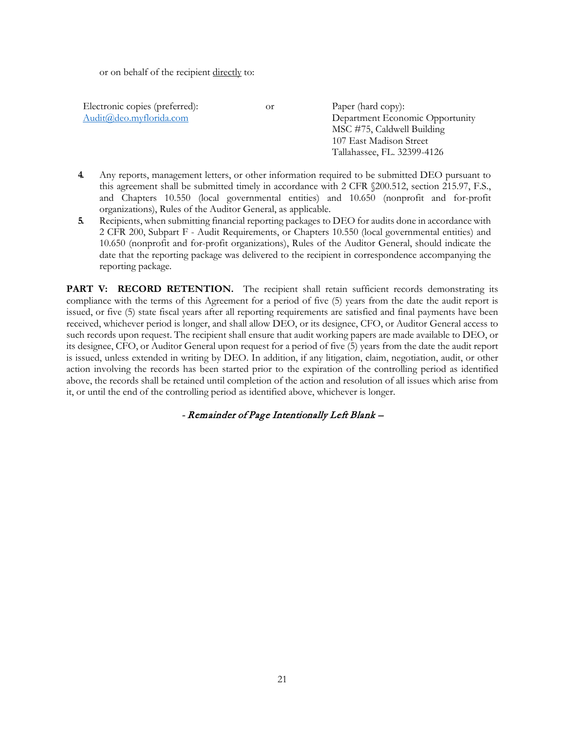or on behalf of the recipient directly to:

Electronic copies (preferred): or Paper (hard copy):

[Audit@deo.myflorida.com](mailto:Audit@deo.myflorida.com) Department Economic Opportunity MSC #75, Caldwell Building 107 East Madison Street Tallahassee, FL. 32399-4126

- **4.** Any reports, management letters, or other information required to be submitted DEO pursuant to this agreement shall be submitted timely in accordance with 2 CFR §200.512, section 215.97, F.S., and Chapters 10.550 (local governmental entities) and 10.650 (nonprofit and for-profit organizations), Rules of the Auditor General, as applicable.
- **5.** Recipients, when submitting financial reporting packages to DEO for audits done in accordance with 2 CFR 200, Subpart F - Audit Requirements, or Chapters 10.550 (local governmental entities) and 10.650 (nonprofit and for-profit organizations), Rules of the Auditor General, should indicate the date that the reporting package was delivered to the recipient in correspondence accompanying the reporting package.

PART V: RECORD RETENTION. The recipient shall retain sufficient records demonstrating its compliance with the terms of this Agreement for a period of five (5) years from the date the audit report is issued, or five (5) state fiscal years after all reporting requirements are satisfied and final payments have been received, whichever period is longer, and shall allow DEO, or its designee, CFO, or Auditor General access to such records upon request. The recipient shall ensure that audit working papers are made available to DEO, or its designee, CFO, or Auditor General upon request for a period of five (5) years from the date the audit report is issued, unless extended in writing by DEO. In addition, if any litigation, claim, negotiation, audit, or other action involving the records has been started prior to the expiration of the controlling period as identified above, the records shall be retained until completion of the action and resolution of all issues which arise from it, or until the end of the controlling period as identified above, whichever is longer.

- Remainder of Page Intentionally Left Blank –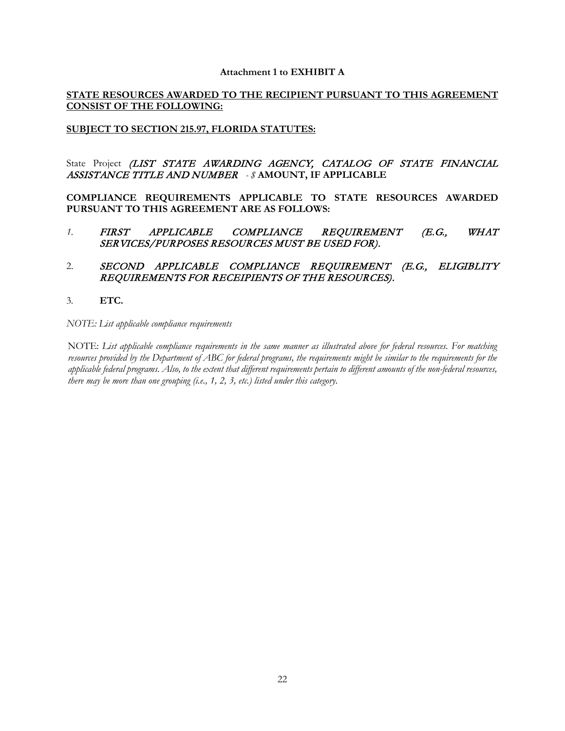#### **Attachment 1 to EXHIBIT A**

## **STATE RESOURCES AWARDED TO THE RECIPIENT PURSUANT TO THIS AGREEMENT CONSIST OF THE FOLLOWING:**

## **SUBJECT TO SECTION 215.97, FLORIDA STATUTES:**

State Project (LIST STATE AWARDING AGENCY, CATALOG OF STATE FINANCIAL ASSISTANCE TITLE AND NUMBER *- \$* **AMOUNT, IF APPLICABLE**

**COMPLIANCE REQUIREMENTS APPLICABLE TO STATE RESOURCES AWARDED PURSUANT TO THIS AGREEMENT ARE AS FOLLOWS:**

*1.* FIRST APPLICABLE COMPLIANCE REQUIREMENT (E.G., WHAT SERVICES/PURPOSES RESOURCES MUST BE USED FOR).

## 2. SECOND APPLICABLE COMPLIANCE REQUIREMENT (E.G., ELIGIBLITY REQUIREMENTS FOR RECEIPIENTS OF THE RESOURCES).

3*.* **ETC.**

*NOTE: List applicable compliance requirements* 

NOTE: *List applicable compliance requirements in the same manner as illustrated above for federal resources. For matching resources provided by the Department of ABC for federal programs, the requirements might be similar to the requirements for the applicable federal programs. Also, to the extent that different requirements pertain to different amounts of the non-federal resources, there may be more than one grouping (i.e., 1, 2, 3, etc.) listed under this category.*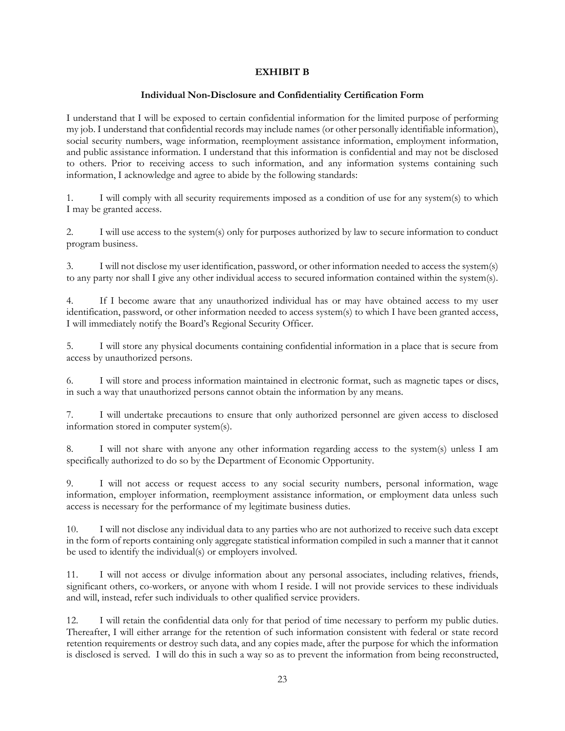### **EXHIBIT B**

#### **Individual Non-Disclosure and Confidentiality Certification Form**

I understand that I will be exposed to certain confidential information for the limited purpose of performing my job. I understand that confidential records may include names (or other personally identifiable information), social security numbers, wage information, reemployment assistance information, employment information, and public assistance information. I understand that this information is confidential and may not be disclosed to others. Prior to receiving access to such information, and any information systems containing such information, I acknowledge and agree to abide by the following standards:

1. I will comply with all security requirements imposed as a condition of use for any system(s) to which I may be granted access.

2. I will use access to the system(s) only for purposes authorized by law to secure information to conduct program business.

3. I will not disclose my user identification, password, or other information needed to access the system(s) to any party nor shall I give any other individual access to secured information contained within the system(s).

4. If I become aware that any unauthorized individual has or may have obtained access to my user identification, password, or other information needed to access system(s) to which I have been granted access, I will immediately notify the Board's Regional Security Officer.

5. I will store any physical documents containing confidential information in a place that is secure from access by unauthorized persons.

6. I will store and process information maintained in electronic format, such as magnetic tapes or discs, in such a way that unauthorized persons cannot obtain the information by any means.

7. I will undertake precautions to ensure that only authorized personnel are given access to disclosed information stored in computer system(s).

8. I will not share with anyone any other information regarding access to the system(s) unless I am specifically authorized to do so by the Department of Economic Opportunity.

9. I will not access or request access to any social security numbers, personal information, wage information, employer information, reemployment assistance information, or employment data unless such access is necessary for the performance of my legitimate business duties.

10. I will not disclose any individual data to any parties who are not authorized to receive such data except in the form of reports containing only aggregate statistical information compiled in such a manner that it cannot be used to identify the individual(s) or employers involved.

11. I will not access or divulge information about any personal associates, including relatives, friends, significant others, co-workers, or anyone with whom I reside. I will not provide services to these individuals and will, instead, refer such individuals to other qualified service providers.

12. I will retain the confidential data only for that period of time necessary to perform my public duties. Thereafter, I will either arrange for the retention of such information consistent with federal or state record retention requirements or destroy such data, and any copies made, after the purpose for which the information is disclosed is served. I will do this in such a way so as to prevent the information from being reconstructed,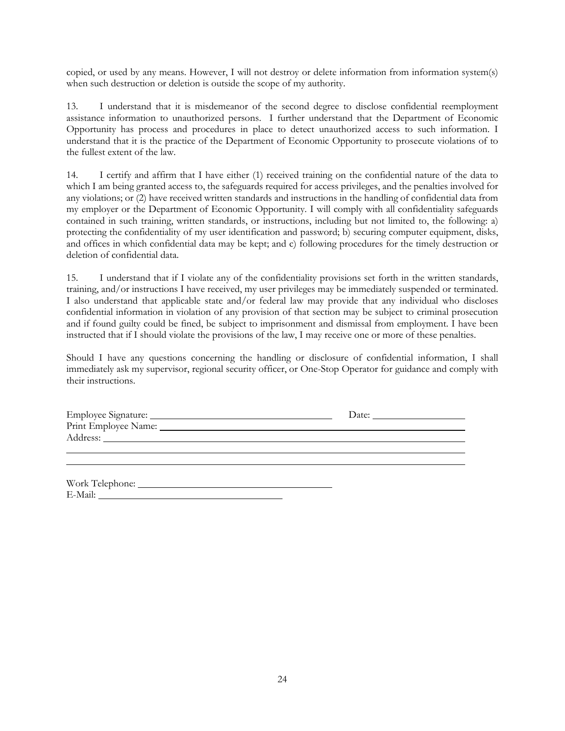copied, or used by any means. However, I will not destroy or delete information from information system(s) when such destruction or deletion is outside the scope of my authority.

13. I understand that it is misdemeanor of the second degree to disclose confidential reemployment assistance information to unauthorized persons. I further understand that the Department of Economic Opportunity has process and procedures in place to detect unauthorized access to such information. I understand that it is the practice of the Department of Economic Opportunity to prosecute violations of to the fullest extent of the law.

14. I certify and affirm that I have either (1) received training on the confidential nature of the data to which I am being granted access to, the safeguards required for access privileges, and the penalties involved for any violations; or (2) have received written standards and instructions in the handling of confidential data from my employer or the Department of Economic Opportunity. I will comply with all confidentiality safeguards contained in such training, written standards, or instructions, including but not limited to, the following: a) protecting the confidentiality of my user identification and password; b) securing computer equipment, disks, and offices in which confidential data may be kept; and c) following procedures for the timely destruction or deletion of confidential data.

15. I understand that if I violate any of the confidentiality provisions set forth in the written standards, training, and/or instructions I have received, my user privileges may be immediately suspended or terminated. I also understand that applicable state and/or federal law may provide that any individual who discloses confidential information in violation of any provision of that section may be subject to criminal prosecution and if found guilty could be fined, be subject to imprisonment and dismissal from employment. I have been instructed that if I should violate the provisions of the law, I may receive one or more of these penalties.

Should I have any questions concerning the handling or disclosure of confidential information, I shall immediately ask my supervisor, regional security officer, or One-Stop Operator for guidance and comply with their instructions.

| Employee Signature:  | Date: |
|----------------------|-------|
| Print Employee Name: |       |
| Address:             |       |
|                      |       |

| Work Telephone: |  |
|-----------------|--|
| E-Mail:         |  |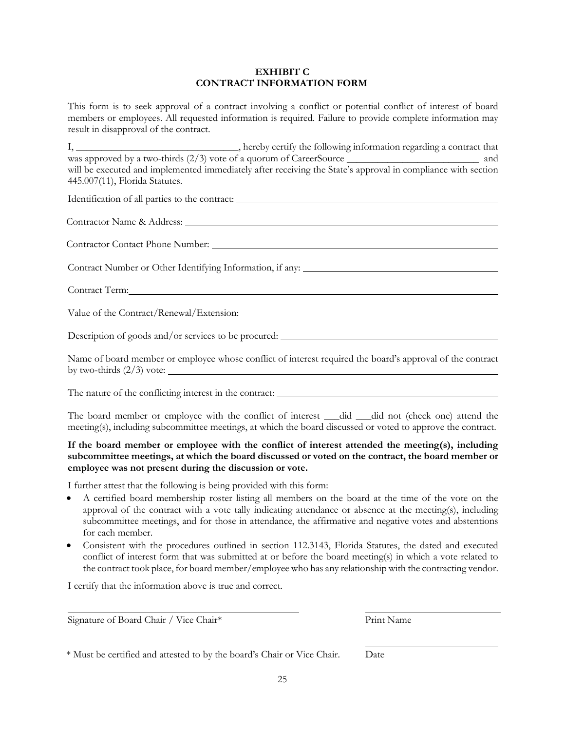#### **EXHIBIT C CONTRACT INFORMATION FORM**

This form is to seek approval of a contract involving a conflict or potential conflict of interest of board members or employees. All requested information is required. Failure to provide complete information may result in disapproval of the contract.

I, \_\_\_\_\_\_\_\_\_\_\_\_\_\_\_\_\_\_\_\_\_\_\_\_\_\_\_\_\_\_\_\_, hereby certify the following information regarding a contract that was approved by a two-thirds (2/3) vote of a quorum of CareerSource \_\_\_\_\_\_\_\_\_\_\_\_\_\_\_\_\_\_\_\_\_\_\_\_\_\_ and will be executed and implemented immediately after receiving the State's approval in compliance with section 445.007(11), Florida Statutes.

Identification of all parties to the contract:

Contractor Name & Address:

Contractor Contact Phone Number:

Contract Number or Other Identifying Information, if any:

Contract Term:

Value of the Contract/Renewal/Extension:

Description of goods and/or services to be procured:

Name of board member or employee whose conflict of interest required the board's approval of the contract by two-thirds  $(2/3)$  vote:

The nature of the conflicting interest in the contract:

The board member or employee with the conflict of interest \_\_\_did \_\_\_did not (check one) attend the meeting(s), including subcommittee meetings, at which the board discussed or voted to approve the contract.

## **If the board member or employee with the conflict of interest attended the meeting(s), including subcommittee meetings, at which the board discussed or voted on the contract, the board member or employee was not present during the discussion or vote.**

I further attest that the following is being provided with this form:

- A certified board membership roster listing all members on the board at the time of the vote on the approval of the contract with a vote tally indicating attendance or absence at the meeting(s), including subcommittee meetings, and for those in attendance, the affirmative and negative votes and abstentions for each member.
- Consistent with the procedures outlined in section 112.3143, Florida Statutes, the dated and executed conflict of interest form that was submitted at or before the board meeting(s) in which a vote related to the contract took place, for board member/employee who has any relationship with the contracting vendor.

I certify that the information above is true and correct.

Signature of Board Chair / Vice Chair\* Print Name

\* Must be certified and attested to by the board's Chair or Vice Chair. Date